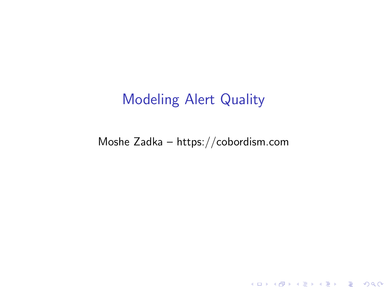## Modeling Alert Quality

Moshe Zadka – https://cobordism.com

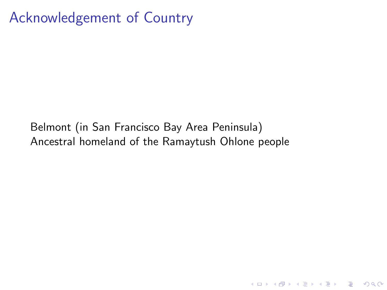### Acknowledgement of Country

Belmont (in San Francisco Bay Area Peninsula) Ancestral homeland of the Ramaytush Ohlone people

K ロ ▶ K 個 ▶ K 할 ▶ K 할 ▶ 이 할 → 9 Q Q →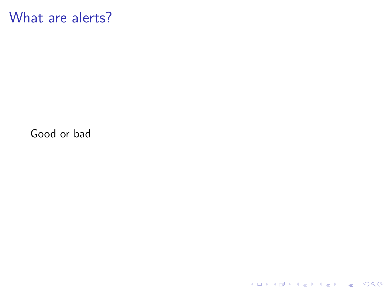What are alerts?

Good or bad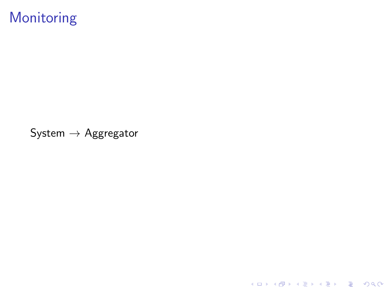# Monitoring

System  $\rightarrow$  Aggregator

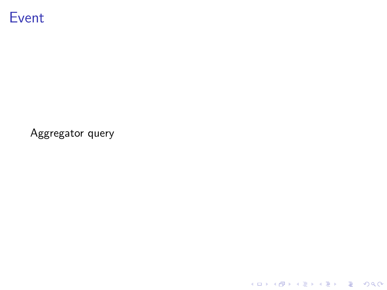

Aggregator query

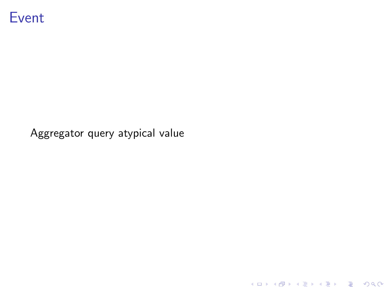

Aggregator query atypical value

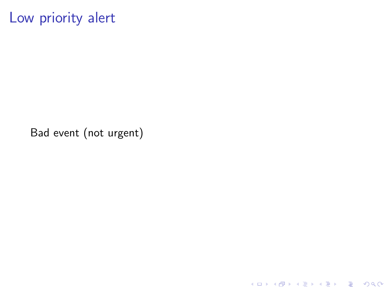## Low priority alert

Bad event (not urgent)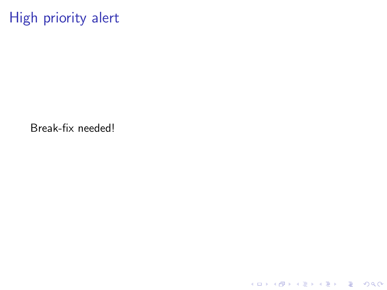High priority alert

Break-fix needed!

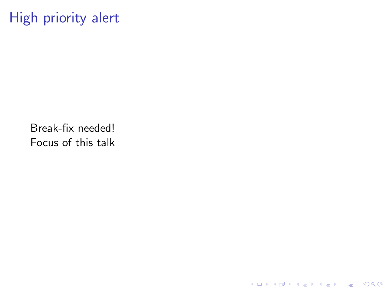# High priority alert

Break-fix needed! Focus of this talk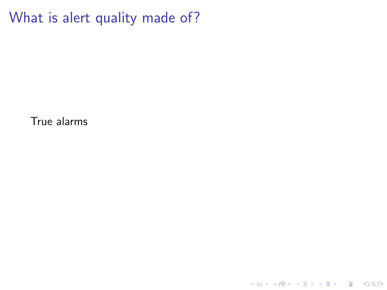True alarms

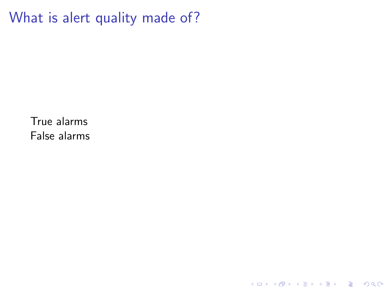K ロ ▶ K @ ▶ K 할 ▶ K 할 ▶ | 할 | ⊙Q @

True alarms False alarms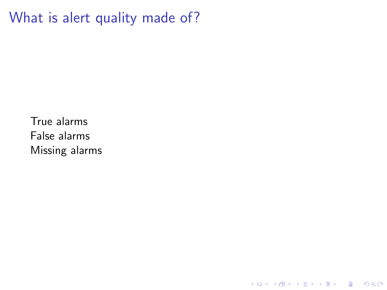**Kロトメ部トメミトメミト ミニのQC** 

True alarms False alarms Missing alarms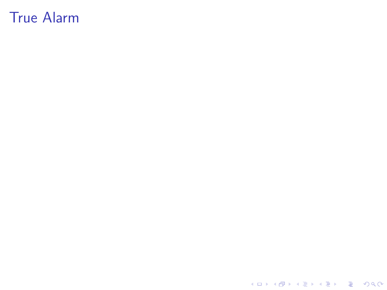K ロ K K d K K B K K B K X A K K K G K C K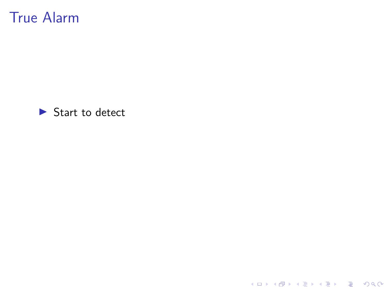

KOKK@KKEKKEK E 1990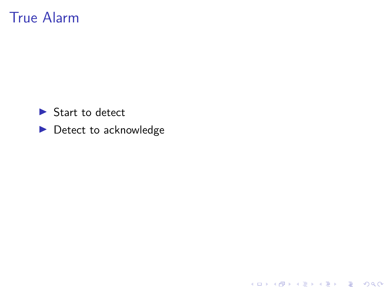$\blacktriangleright$  Start to detect

 $\blacktriangleright$  Detect to acknowledge

**Kロトメ部トメミトメミト ミニのQC**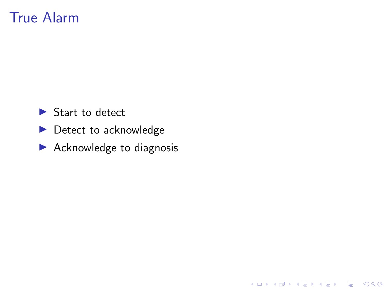- $\blacktriangleright$  Start to detect
- $\blacktriangleright$  Detect to acknowledge
- $\blacktriangleright$  Acknowledge to diagnosis

**Kロトメ部トメミトメミト ミニのQC**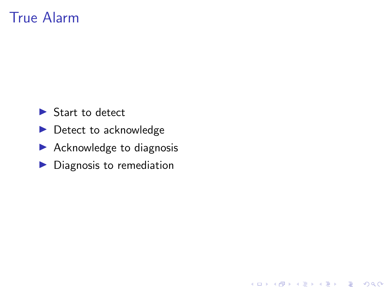- $\blacktriangleright$  Start to detect
- $\blacktriangleright$  Detect to acknowledge
- $\blacktriangleright$  Acknowledge to diagnosis
- $\blacktriangleright$  Diagnosis to remediation

K ロ ▶ K 個 ▶ K 할 ▶ K 할 ▶ 이 할 → 9 Q Q →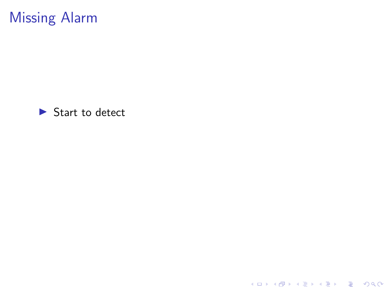

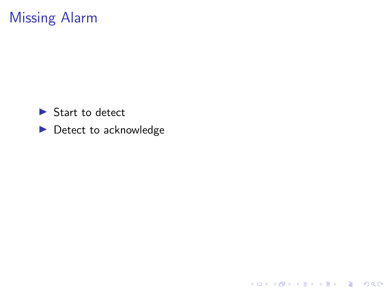

 $\blacktriangleright$  Detect to acknowledge

**Kロトメ部トメミトメミト ミニのQC**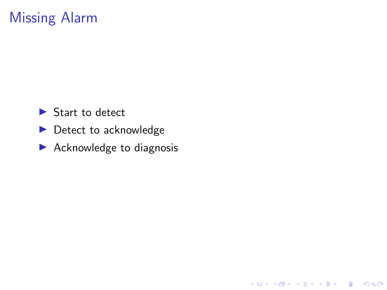- $\blacktriangleright$  Start to detect
- $\blacktriangleright$  Detect to acknowledge
- $\blacktriangleright$  Acknowledge to diagnosis

KOKK@KKEKKEK E 1990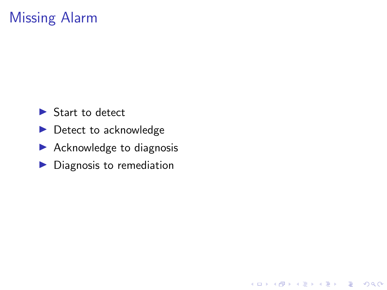- $\blacktriangleright$  Start to detect
- $\blacktriangleright$  Detect to acknowledge
- $\blacktriangleright$  Acknowledge to diagnosis
- $\blacktriangleright$  Diagnosis to remediation

K ロ ▶ K 個 ▶ K 할 ▶ K 할 ▶ 이 할 → 9 Q Q →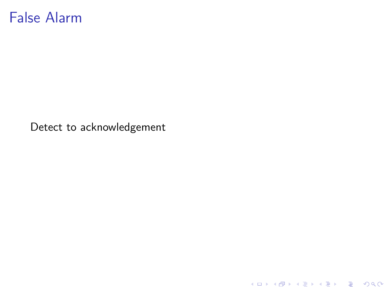#### False Alarm

Detect to acknowledgement

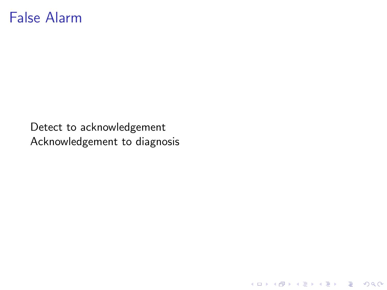#### False Alarm

Detect to acknowledgement Acknowledgement to diagnosis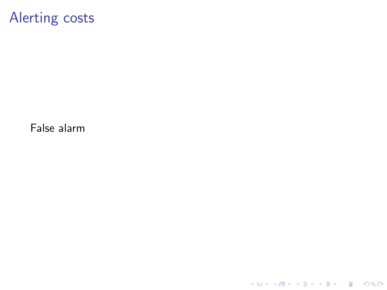### Alerting costs

False alarm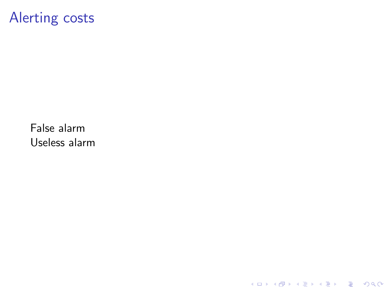### Alerting costs

False alarm Useless alarm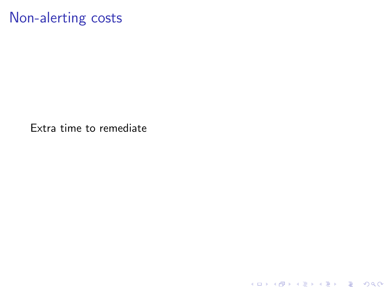## Non-alerting costs

Extra time to remediate

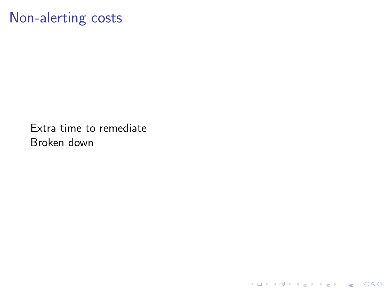## Non-alerting costs

Extra time to remediate Broken down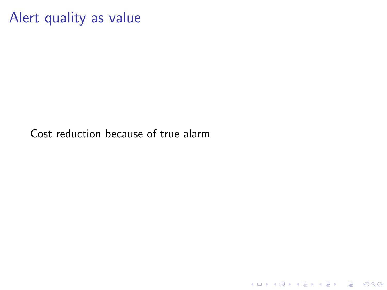Alert quality as value

Cost reduction because of true alarm

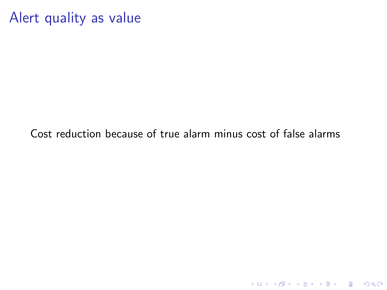#### Alert quality as value

Cost reduction because of true alarm minus cost of false alarms

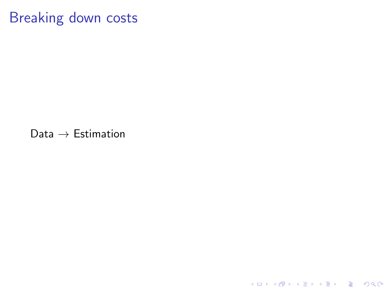### Breaking down costs

Data  $\rightarrow$  Estimation

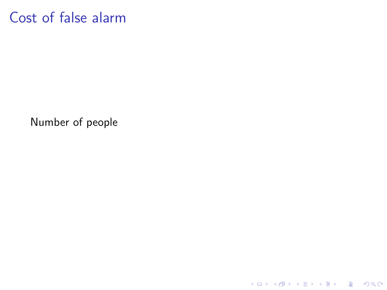#### Cost of false alarm

Number of people

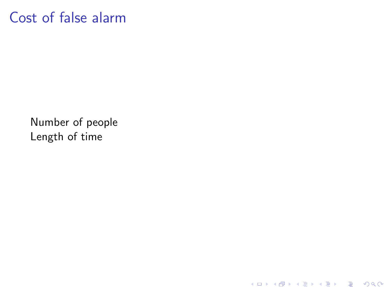#### Cost of false alarm

Number of people Length of time

**Kロトメ部トメミトメミト ミニのQC**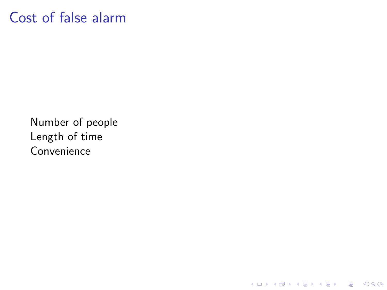#### Cost of false alarm

Number of people Length of time Convenience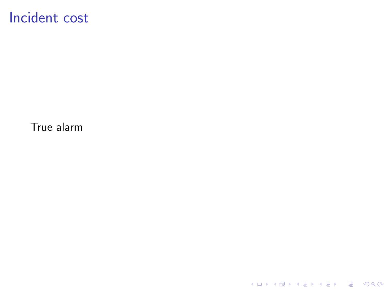# Incident cost

True alarm

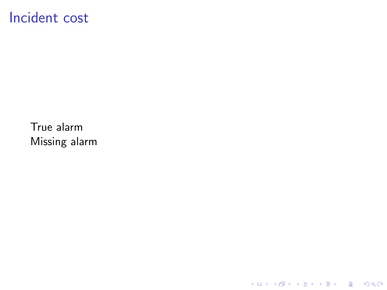#### Incident cost

True alarm Missing alarm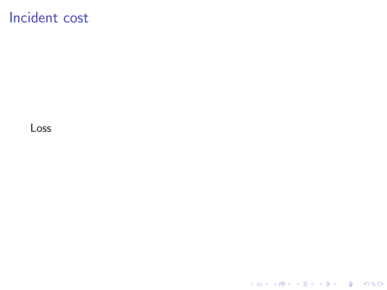### Incident cost

Loss

K ロ K K d K K B K K B K X B K Y Q Q Q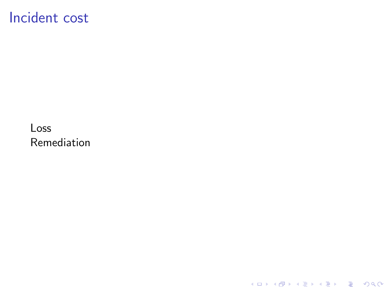## Incident cost

Loss Remediation

K ロ ▶ K @ ▶ K 할 ▶ K 할 ▶ | 할 | ⊙Q @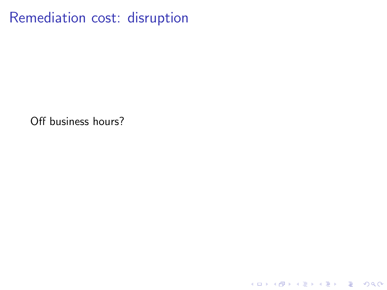Remediation cost: disruption

Off business hours?

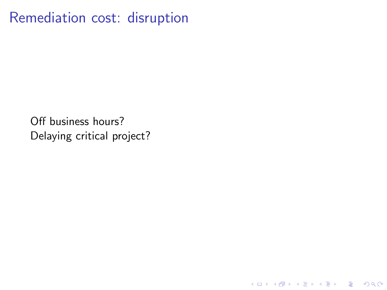Remediation cost: disruption

Off business hours? Delaying critical project?

K ロ ▶ K @ ▶ K 할 ▶ K 할 ▶ | 할 | © 9 Q @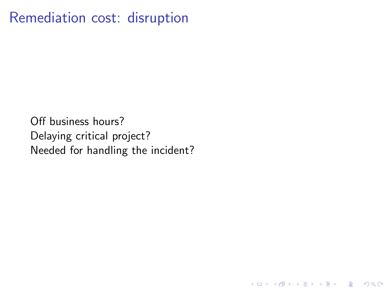## Remediation cost: disruption

Off business hours? Delaying critical project? Needed for handling the incident?

K ロ ▶ K 個 ▶ K 할 ▶ K 할 ▶ 이 할 → 9 Q Q →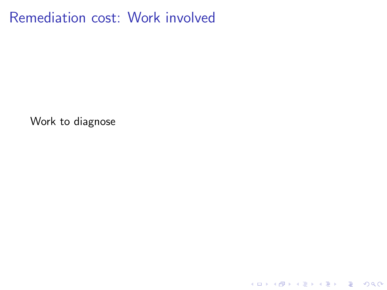Remediation cost: Work involved

Work to diagnose

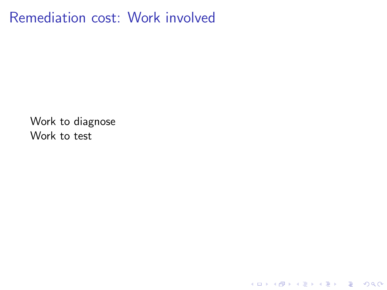Remediation cost: Work involved

K ロ ▶ K @ ▶ K 할 ▶ K 할 ▶ | 할 | © 9 Q @

Work to diagnose Work to test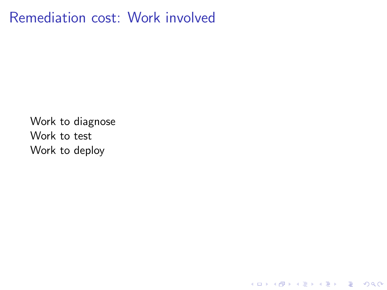Remediation cost: Work involved

**Kロトメ部トメミトメミト ミニのQC** 

Work to diagnose Work to test Work to deploy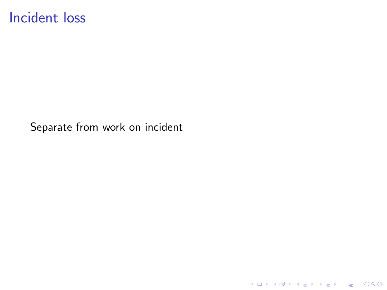#### Incident loss

Separate from work on incident

K ロ ▶ K @ ▶ K 할 ▶ K 할 ▶ | 할 | ⊙Q @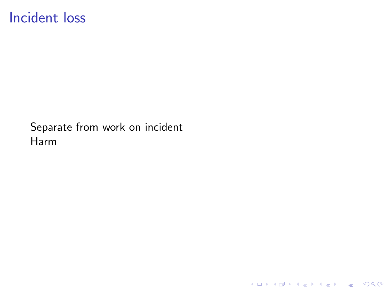### Incident loss

Separate from work on incident Harm

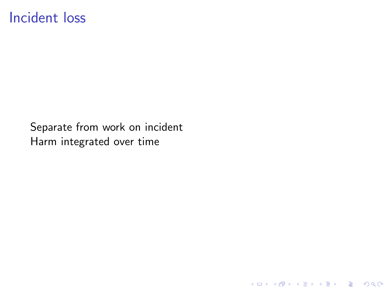### Incident loss

Separate from work on incident Harm integrated over time

K ロ ▶ K @ ▶ K 할 ▶ K 할 ▶ | 할 | © 9 Q @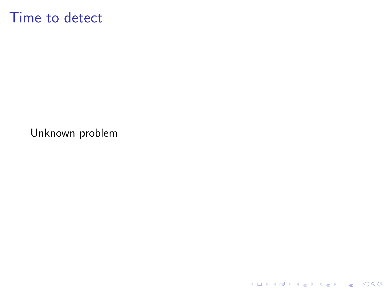## Time to detect

Unknown problem

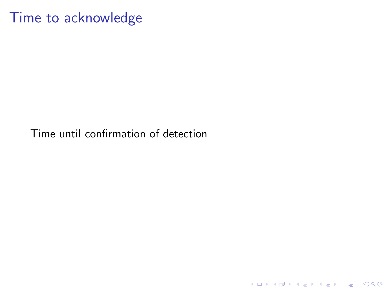#### Time to acknowledge

Time until confirmation of detection

KO K K Ø K K E K K E K V K K K K K K K K K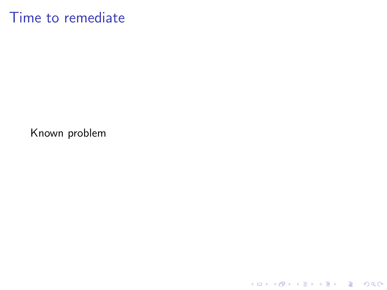## Time to remediate

Known problem

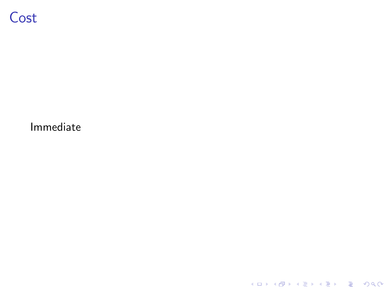

Immediate

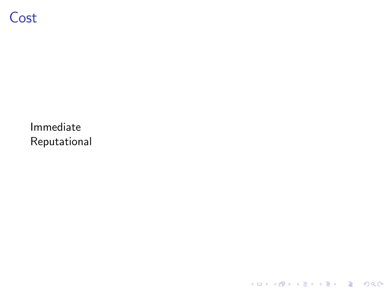# Cost

Immediate Reputational

K ロ ▶ K @ ▶ K 할 ▶ K 할 ▶ | 할 | ⊙Q @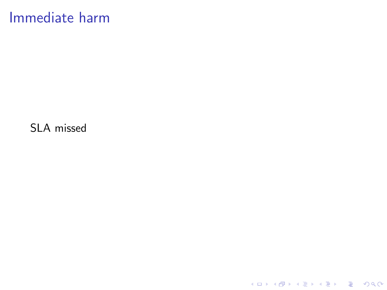## Immediate harm

SLA missed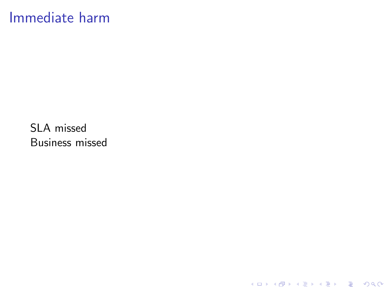## Immediate harm

SLA missed Business missed

**Kロトメ部トメミトメミト ミニのQC**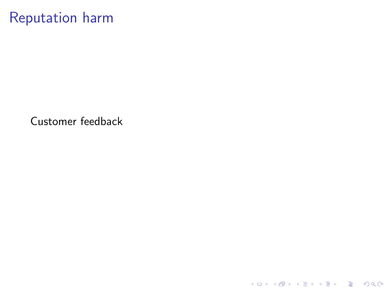## Reputation harm

Customer feedback

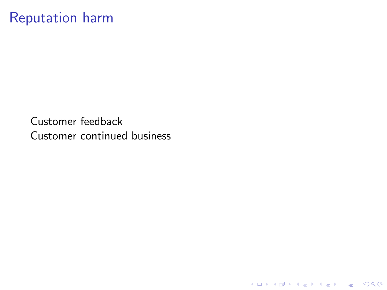## Reputation harm

Customer feedback Customer continued business

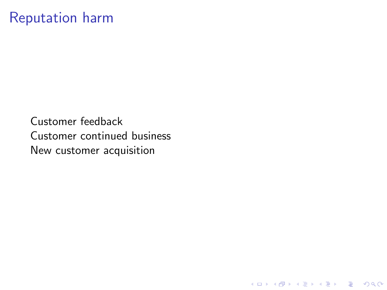## Reputation harm

Customer feedback Customer continued business New customer acquisition

K ロ ▶ K @ ▶ K 할 ▶ K 할 ▶ | 할 | © 9 Q @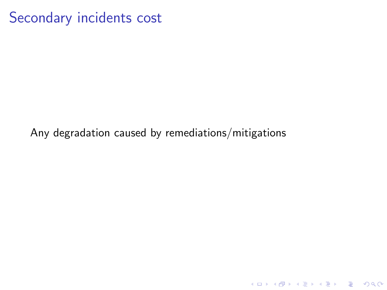Secondary incidents cost

Any degradation caused by remediations/mitigations

KO K K Ø K K E K K E K V K K K K K K K K K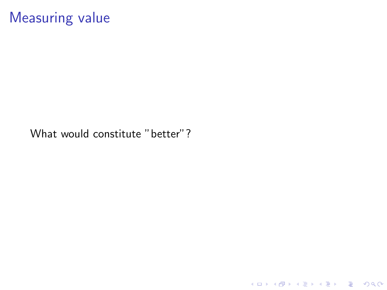# Measuring value

What would constitute "better"?

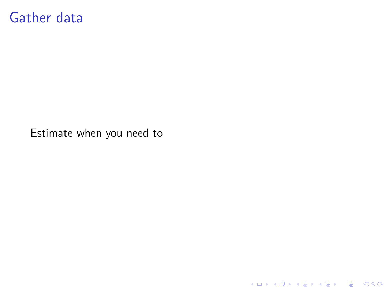### Gather data

Estimate when you need to

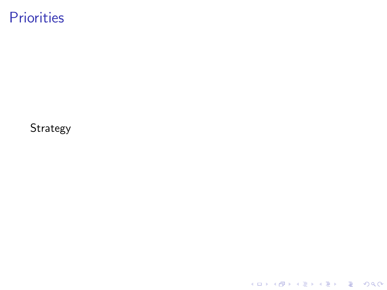# **Priorities**

Strategy

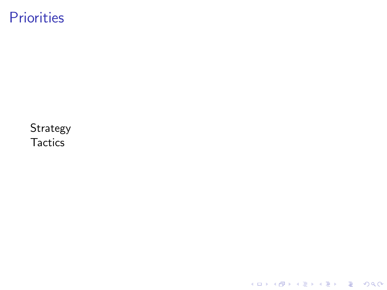# **Priorities**

Strategy **Tactics** 

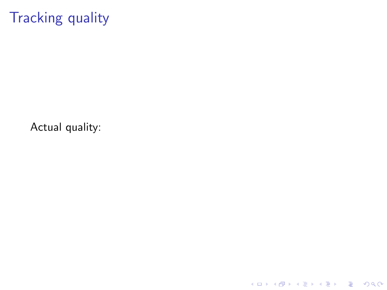# Tracking quality

Actual quality:

K ロ ▶ K @ ▶ K 할 ▶ K 할 ▶ | 할 | ⊙Q @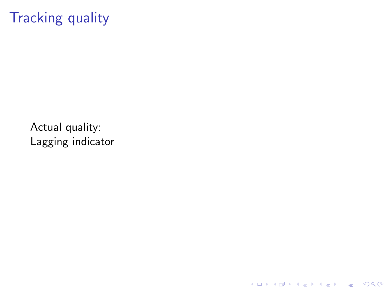# Tracking quality

Actual quality: Lagging indicator

**Kロトメ部トメミトメミト ミニのQC**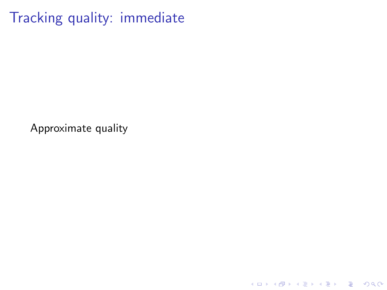Tracking quality: immediate

Approximate quality

K ロ ▶ K @ ▶ K 할 ▶ K 할 ▶ | 할 | © 9 Q @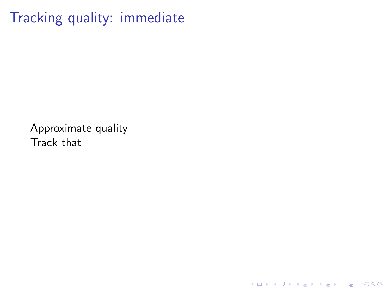Tracking quality: immediate

Approximate quality Track that

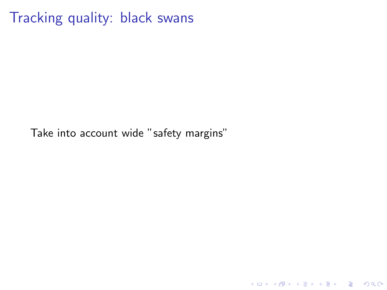Tracking quality: black swans

Take into account wide "safety margins"

K ロ ▶ K @ ▶ K 할 ▶ K 할 ▶ | 할 | ⊙Q @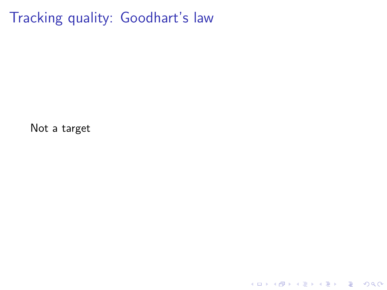Tracking quality: Goodhart's law

Not a target

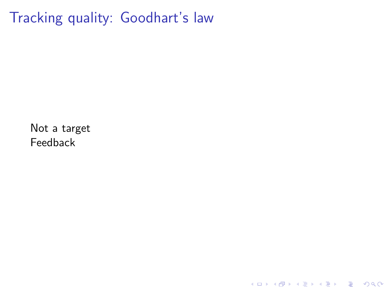Tracking quality: Goodhart's law

**Kロトメ部トメミトメミト ミニのQC** 

Not a target Feedback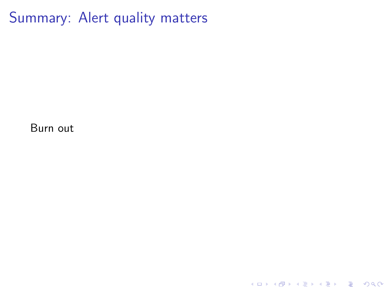Summary: Alert quality matters

K ロ ▶ K @ ▶ K 할 ▶ K 할 ▶ | 할 | ⊙Q @

Burn out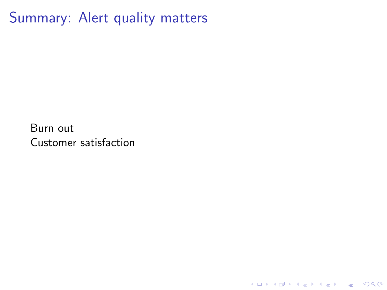Summary: Alert quality matters

K ロ ▶ K @ ▶ K 할 ▶ K 할 ▶ | 할 | ⊙Q @

Burn out Customer satisfaction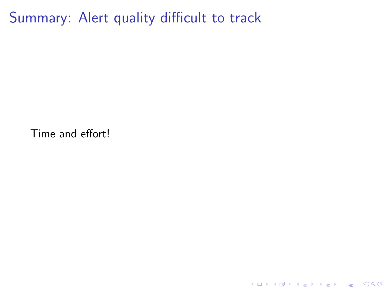Summary: Alert quality difficult to track

Time and effort!

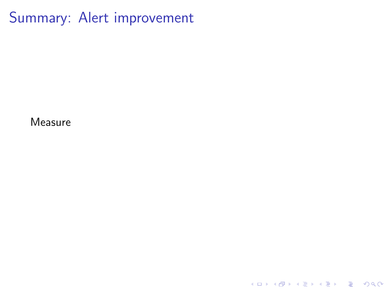Summary: Alert improvement

Measure

K ロ ▶ K @ ▶ K 할 ▶ K 할 ▶ | 할 | ⊙Q @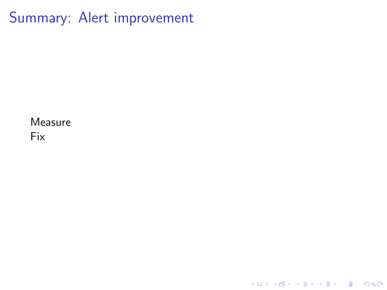Summary: Alert improvement

K ロ ▶ K @ ▶ K 할 ▶ K 할 ▶ | 할 | ⊙Q @

Measure Fix